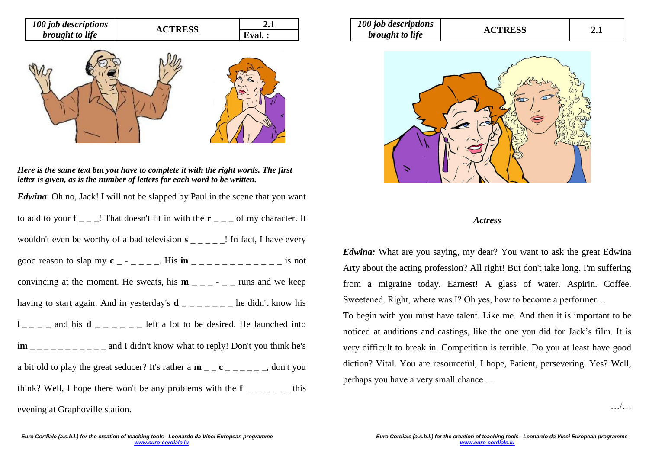

*Here is the same text but you have to complete it with the right words. The first letter is given, as is the number of letters for each word to be written.*

*Edwina*: Oh no, Jack! I will not be slapped by Paul in the scene that you want to add to your  $f_{-}$   $=$  That doesn't fit in with the  $r_{-}$   $=$  of my character. It wouldn't even be worthy of a bad television **s** \_ \_ \_ \_ \_ . In fact, I have every good reason to slap my  $c_{-}$  -  $c_{-}$ . His  $\text{in}_{-}$   $c_{-}$   $c_{-}$   $c_{-}$  and  $c_{-}$  is not convincing at the moment. He sweats, his  $m_{-}$   $_{-}$   $_{-}$   $_{-}$   $_{-}$  runs and we keep having to start again. And in yesterday's  $\mathbf{d}$  \_ \_ \_ \_ \_ \_ he didn't know his  $l_{-}$   $=$   $-$  and his **d**  $=$   $-$  left a lot to be desired. He launched into **im** and I didn't know what to reply! Don't you think he's a bit old to play the great seducer? It's rather a **m \_ \_ c \_ \_ \_ \_ \_ \_**, don't you think? Well, I hope there won't be any problems with the  $f_{\text{max}} = -1$ evening at Graphoville station.

| 100 job descriptions   | <b>ACTRESS</b> | $2.1\,$ |
|------------------------|----------------|---------|
| <i>brought to life</i> |                |         |



## *Actress*

*Edwina:* What are you saying, my dear? You want to ask the great Edwina Arty about the acting profession? All right! But don't take long. I'm suffering from a migraine today. Earnest! A glass of water. Aspirin. Coffee. Sweetened. Right, where was I? Oh yes, how to become a performer…

To begin with you must have talent. Like me. And then it is important to be noticed at auditions and castings, like the one you did for Jack's film. It is very difficult to break in. Competition is terrible. Do you at least have good diction? Vital. You are resourceful, I hope, Patient, persevering. Yes? Well, perhaps you have a very small chance …

 $\sqrt{2}$